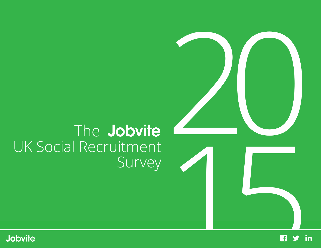# The Jobvite UK Social Recruitment Survey



20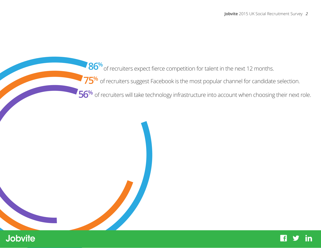86% of recruiters expect fierce comp<br>
75% of recruiters suggest Facebook is<br>
95% of recruiters will take technology infrontiers<br>
1015<br>
1015<br>
1020<br>
1020<br>
1020<br>
1020<br>
1020<br>
1020<br>
1020<br>
1020<br>
1020<br>
1020<br>
1020<br>
1020<br>
1020<br>
102 **86%** of recruiters expect fierce competition for talent in the next 12 months.

**75%** of recruiters suggest Facebook is the most popular channel for candidate selection.

56<sup>%</sup> of recruiters will take technology infrastructure into account when choosing their next role.

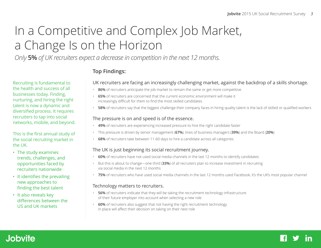## In a Competitive and Complex Job Market, a Change Is on the Horizon

*Only* **5%** *of UK recruiters expect a decrease in competition in the next 12 months.*

#### **Top Findings:**

#### UK recruiters are facing an increasingly challenging market, against the backdrop of a skills shortage.

- **86%** of recruiters anticipate the job market to remain the same or get more competitive
- **65%** of recruiters are concerned that the current economic environment will make it increasingly difficult for them to find the most skilled candidates
- **58%** of recruiters say that the biggest challenge their company faces in hiring quality talent is the lack of skilled or qualified workers

#### The pressure is on and speed is of the essence.

- **49%** of recruiters are experiencing increased pressure to hire the right candidate faster
- This pressure is driven by senior management (**67%**), lines of business managers (**39%**) and the Board (**20%**)
- **68%** of recruiters take between 11-60 days to hire a candidate across all categories

#### The UK is just beginning its social recruitment journey.

- **60%** of recruiters have not used social media channels in the last 12 months to identify candidates
- But this is about to change—one third (**33%**) of all recruiters plan to increase investment in recruiting via social media in the next 12 months
- **75%** of recruiters who have used social media channels in the last 12 months used Facebook; it's the UK's most popular channel

#### Technology matters to recruiters.

- **56%** of recruiters indicate that they will be taking the recruitment technology infrastructure of their future employer into account when selecting a new role
- **60%** of recruiters also suggest that not having the right recruitment technology in place will affect their decision on taking on their next role

Recruiting is fundamental to the health and success of all businesses today. Finding, nurturing, and hiring the right talent is now a dynamic and diversified process. It requires recruiters to tap into social networks, mobile, and beyond.

This is the first annual study of the social recruiting market in the UK.

- The study examines trends, challenges, and opportunities faced by recruiters nationwide
- It identifies the prevailing new approaches to finding the best talent
- It also reveals key differences between the US and UK markets

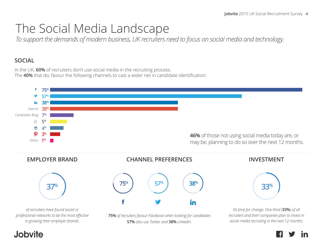## The Social Media Landscape

*To support the demands of modern business, UK recruiters need to focus on social media and technology.*

#### **SOCIAL**

In the UK, **60%** of recruiters don't use social media in the recruiting process. The **40%** that do, favour the following channels to cast a wider net in candidate identification:

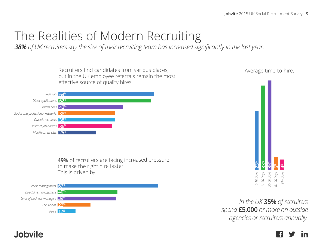## The Realities of Modern Recruiting

*38% of UK recruiters say the size of their recruiting team has increased significantly in the last year.* 

Recruiters find candidates from various places, but in the UK employee referrals remain the most effective source of quality hires.



**49%** of recruiters are facing increased pressure to make the right hire faster. This is driven by:





*In the UK* **35%** *of recruiters spend* **£5,000** *or more on outside agencies or recruiters annually.*

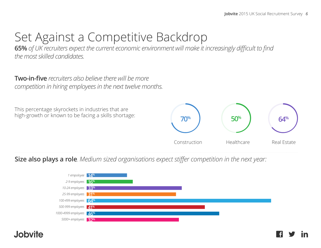## Set Against a Competitive Backdrop

**65%** *of UK recruiters expect the current economic environment will make it increasingly difficult to find the most skilled candidates.*

**Two-in-five** *recruiters also believe there will be more competition in hiring employees in the next twelve months.*



**Size also plays a role**. *Medium sized organisations expect stiffer competition in the next year:*

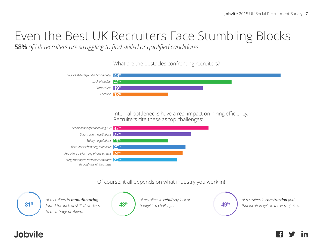## Even the Best UK Recruiters Face Stumbling Blocks

**58%** *of UK recruiters are struggling to find skilled or qualified candidates.*

What are the obstacles confronting recruiters?



#### Of course, it all depends on what industry you work in!

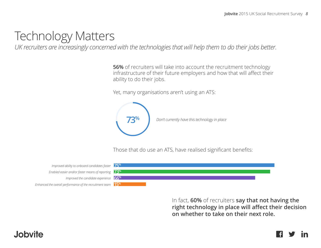## Technology Matters

*UK recruiters are increasingly concerned with the technologies that will help them to do their jobs better.*

**56%** of recruiters will take into account the recruitment technology infrastructure of their future employers and how that will affect their ability to do their jobs.

Yet, many organisations aren't using an ATS:



Those that do use an ATS, have realised significant benefits:

*Enhanced the overall performance of the recruitment team Enabled easier and/or faster means of reporting* **73%** *Improved ability to onboard candidates faster Improved the candidate experience* **66%**



In fact, **60%** of recruiters **say that not having the right technology in place will affect their decision on whether to take on their next role.**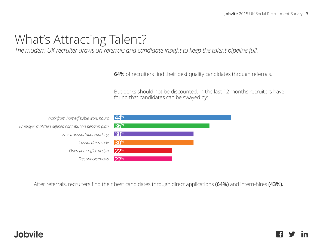## What's Attracting Talent?

*The modern UK recruiter draws on referrals and candidate insight to keep the talent pipeline full.*

**64%** of recruiters find their best quality candidates through referrals.

But perks should not be discounted. In the last 12 months recruiters have found that candidates can be swayed by:

*Work from home/flexible work hour Employer matched defined contribution pension plan Free transportation/parking* Casual dress cod *Open floor office design* Free snacks/meal

| $\mathcal{S}$ | 44%                 |  |  |
|---------------|---------------------|--|--|
|               | n 36 <sup>%1</sup>  |  |  |
|               | $g$ 30%             |  |  |
|               | $e$ 30 <sup>%</sup> |  |  |
|               | n 22 <sup>%</sup>   |  |  |
| ls.           | 22%                 |  |  |

**4%** After referrals, recruiters find their best candidates through direct applications **(64%)** and intern-hires **(43%).**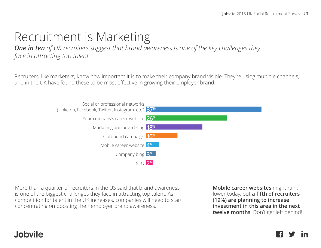## Recruitment is Marketing

*One in ten of UK recruiters suggest that brand awareness is one of the key challenges they face in attracting top talent.*

Recruiters, like marketers, know how important it is to make their company brand visible. They're using multiple channels, and in the UK have found these to be most effective in growing their employer brand:



More than a quarter of recruiters in the US said that brand awareness is one of the biggest challenges they face in attracting top talent. As competition for talent in the UK increases, companies will need to start concentrating on boosting their employer brand awareness.

**Mobile career websites** might rank lower today, but **a fifth of recruiters (19%) are planning to increase investment in this area in the next twelve months**. Don't get left behind!

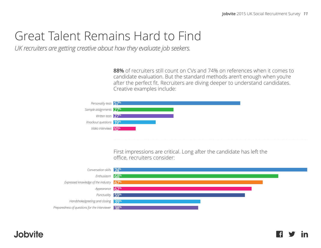## Great Talent Remains Hard to Find

*UK recruiters are getting creative about how they evaluate job seekers.* 

**88%** of recruiters still count on CVs and 74% on references when it comes to candidate evaluation. But the standard methods aren't enough when you're after the perfect fit. Recruiters are diving deeper to understand candidates. Creative examples include:

| Personality tests 57 <sup>%</sup>  |  |
|------------------------------------|--|
| Sample assignments 27 <sup>%</sup> |  |
| Written tests 27 <sup>%</sup>      |  |
| Knockout questions 19 <sup>%</sup> |  |
| Video interviews 10 <sup>%</sup>   |  |

First impressions are critical. Long after the candidate has left the office, recruiters consider:



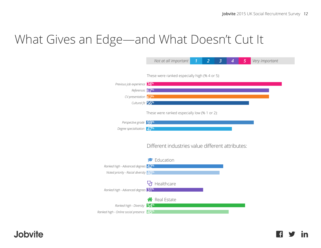l fl

in

## What Gives an Edge—and What Doesn't Cut It

|                                                      | Not at all important                             | $\overline{2}$<br>1 | 3 | 4 | 5 | Very important |
|------------------------------------------------------|--------------------------------------------------|---------------------|---|---|---|----------------|
|                                                      | These were ranked especially high (% 4 or 5):    |                     |   |   |   |                |
| Previous job experience 74 <sup>%</sup>              |                                                  |                     |   |   |   |                |
| References 67%                                       |                                                  |                     |   |   |   |                |
| CV presentation 67%                                  |                                                  |                     |   |   |   |                |
| Cultural fit 56 <sup>%</sup>                         |                                                  |                     |   |   |   |                |
|                                                      | These were ranked especially low (% 1 or 2):     |                     |   |   |   |                |
| Perspective grade 59%                                |                                                  |                     |   |   |   |                |
| Degree specialisation 47%                            |                                                  |                     |   |   |   |                |
|                                                      | Different industries value different attributes: |                     |   |   |   |                |
|                                                      | Education                                        |                     |   |   |   |                |
| Ranked high - Advanced degrees 42%                   |                                                  |                     |   |   |   |                |
| Noted priority - Racial diversity 40%                |                                                  |                     |   |   |   |                |
| Ranked high - Advanced degrees 31 <sup>%</sup>       | $\mathbf{Q}$ Healthcare                          |                     |   |   |   |                |
| Ranked high - Diversity                              | Real Estate<br>54%                               |                     |   |   |   |                |
| Ranked high - Online social presence 45 <sup>%</sup> |                                                  |                     |   |   |   |                |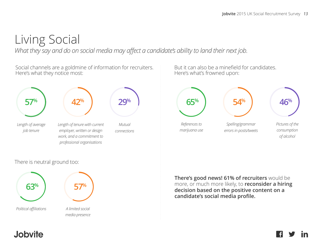## Living Social

*What they say and do on social media may affect a candidate's ability to land their next job.*

Social channels are a goldmine of information for recruiters. Here's what they notice most:



#### There is neutral ground too:



But it can also be a minefield for candidates. Here's what's frowned upon:



**There's good news! 61% of recruiters** would be more, or much more likely, to **reconsider a hiring decision based on the positive content on a candidate's social media profile.**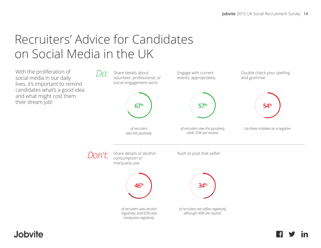## Recruiters' Advice for Candidates on Social Media in the UK

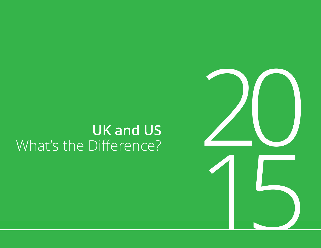## **UK and US** What's the Difference?

20

1[5](http://www.facebook.com/jobvite)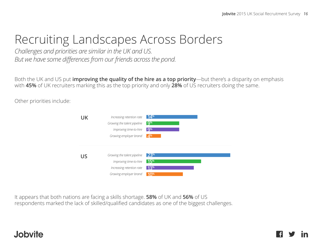## Recruiting Landscapes Across Borders

*Challenges and priorities are similar in the UK and US. But we have some differences from our friends across the pond.*

Both the UK and US put **improving the quality of the hire as a top priority**—but there's a disparity on emphasis with **45%** of UK recruiters marking this as the top priority and only **28%** of US recruiters doing the same.

Other priorities include:

| UK | Increasing retention rate<br>Growing the talent pipeline<br>Improving time-to-hire<br>Growing employer brand | $14\%$<br>$q\%$<br>$Q\%$<br>$\mathbf{\Lambda}^{\%}$ |
|----|--------------------------------------------------------------------------------------------------------------|-----------------------------------------------------|
|    | Growing the talent pipeline<br>Improving time-to-hire<br>Increasing retention rate<br>Growing employer brand | 73%<br>15%<br>13%                                   |

It appears that both nations are facing a skills shortage. **58%** of UK and **56%** of US respondents marked the lack of skilled/qualified candidates as one of the biggest challenges.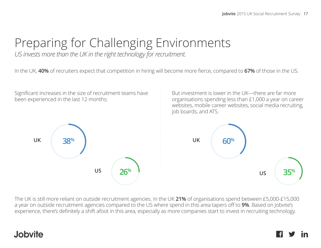## Preparing for Challenging Environments

*US invests more than the UK in the right technology for recruitment.*

In the UK, **40%** of recruiters expect that competition in hiring will become more fierce, compared to **67%** of those in the US.

Significant increases in the size of recruitment teams have been experienced in the last 12 months:

But investment is lower in the UK—there are far more organisations spending less than £1,000 a year on career websites, mobile career websites, social media recruiting, job boards, and ATS.



The UK is still more reliant on outside recruitment agencies. In the UK **21%** of organisations spend between £5,000-£15,000 a year on outside recruitment agencies compared to the US where spend in this area tapers off to **9%**. Based on Jobvite's experience, there's definitely a shift afoot in this area, especially as more companies start to invest in recruiting technology.

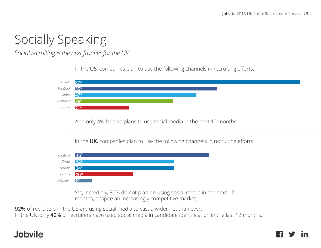## Socially Speaking

*Social recruiting is the next frontier for the UK.*

In the **US**, companies plan to use the following channels in recruiting efforts:

| LinkedIn  | 87%                                                                            |
|-----------|--------------------------------------------------------------------------------|
| Facebook  | <b>55<sup>%</sup></b>                                                          |
| Twitter   | 47%                                                                            |
| Glassdoor | <b>38</b> <sup>%</sup>                                                         |
| YouTube   | 21%                                                                            |
|           |                                                                                |
|           |                                                                                |
|           | And only 4% had no plans to use social media in the next 12 months.            |
|           |                                                                                |
|           |                                                                                |
|           | In the UK, companies plan to use the following channels in recruiting efforts: |
|           |                                                                                |
|           |                                                                                |
| Facebook  | 46%                                                                            |
| Twitter   | 34%                                                                            |
| LinkedIn  | <b>34%</b>                                                                     |
|           |                                                                                |
| YouTube   | 20 <sup>%</sup>                                                                |
| Instagram | $6^{\%}$                                                                       |
|           |                                                                                |

Yet, incredibly, 30% do not plan on using social media in the next 12 months, despite an increasingly competitive market.

**92%** of recruiters in the US are using social media to cast a wider net than ever.

In the UK, only **40%** of recruiters have used social media in candidate identification in the last 12 months.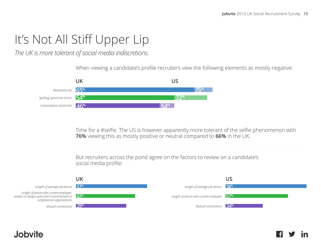# It's Not All Stiff Upper Lip<br>The UK is more tolerant of social media indiscretions.<br>When viewing a candidate's profile recruiters

*The UK is more tolerant of social media indiscretions.*

Jobvite

When viewing a candidate's profile recruiters view the following elements as mostly negative:



Time for a #selfie. The US is however apparently more tolerant of the selfie phenomenon with **76%** viewing this as mostly positive or neutral compared to **66%** in the UK.

But recruiters across the pond agree on the factors to review on a candidate's social media profile:

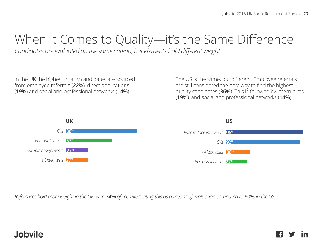## When It Comes to Quality—it's the Same Difference

*Candidates are evaluated on the same criteria, but elements hold different weight.* 

In the UK the highest quality candidates are sourced from employee referrals (**22%**), direct applications (**19%**) and social and professional networks (**14%**).



The US is the same, but different. Employee referrals are still considered the best way to find the highest quality candidates (**36%**). This is followed by intern hires (**19%**), and social and professional networks (**14%**)



*References hold more weight in the UK, with* **74%** *of recruiters citing this as a means of evaluation compared to* **60%** *in the US.*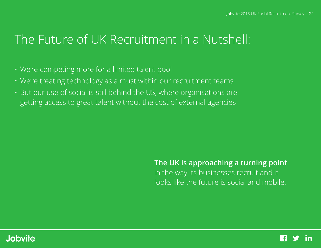## The Future of UK Recruitment in a Nutshell:

- We're competing more for a limited talent pool
- We're treating technology as a must within our recruitment teams
- But our use of social is still behind the US, where organisations are getting access to great talent without the cost of external agencies

#### **The UK is approaching a turning point**

in the way its businesses recruit and it looks like the future is social and mobile.